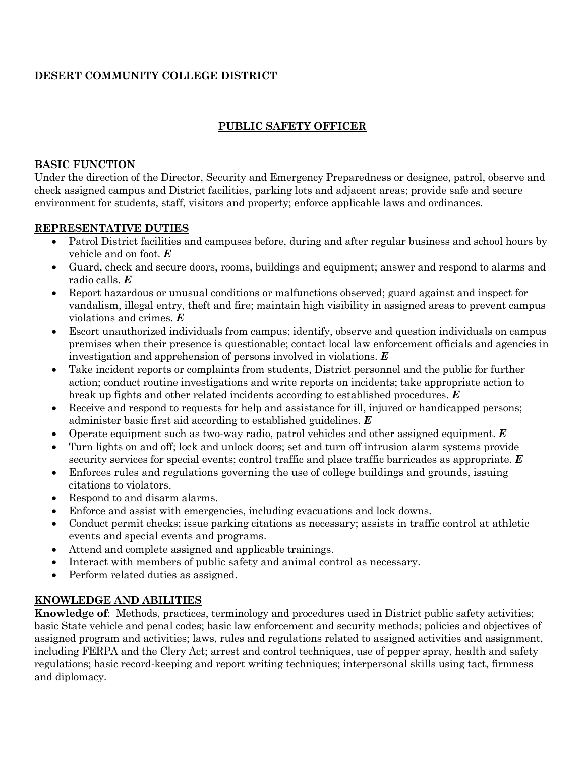# **DESERT COMMUNITY COLLEGE DISTRICT**

# **PUBLIC SAFETY OFFICER**

#### **BASIC FUNCTION**

Under the direction of the Director, Security and Emergency Preparedness or designee, patrol, observe and check assigned campus and District facilities, parking lots and adjacent areas; provide safe and secure environment for students, staff, visitors and property; enforce applicable laws and ordinances.

#### **REPRESENTATIVE DUTIES**

- Patrol District facilities and campuses before, during and after regular business and school hours by vehicle and on foot. *E*
- Guard, check and secure doors, rooms, buildings and equipment; answer and respond to alarms and radio calls. *E*
- Report hazardous or unusual conditions or malfunctions observed; guard against and inspect for vandalism, illegal entry, theft and fire; maintain high visibility in assigned areas to prevent campus violations and crimes. *E*
- Escort unauthorized individuals from campus; identify, observe and question individuals on campus premises when their presence is questionable; contact local law enforcement officials and agencies in investigation and apprehension of persons involved in violations. *E*
- Take incident reports or complaints from students, District personnel and the public for further action; conduct routine investigations and write reports on incidents; take appropriate action to break up fights and other related incidents according to established procedures. *E*
- Receive and respond to requests for help and assistance for ill, injured or handicapped persons; administer basic first aid according to established guidelines. *E*
- Operate equipment such as two-way radio, patrol vehicles and other assigned equipment. *E*
- Turn lights on and off; lock and unlock doors; set and turn off intrusion alarm systems provide security services for special events; control traffic and place traffic barricades as appropriate. *E*
- Enforces rules and regulations governing the use of college buildings and grounds, issuing citations to violators.
- Respond to and disarm alarms.
- Enforce and assist with emergencies, including evacuations and lock downs.
- Conduct permit checks; issue parking citations as necessary; assists in traffic control at athletic events and special events and programs.
- Attend and complete assigned and applicable trainings.
- Interact with members of public safety and animal control as necessary.
- Perform related duties as assigned.

### **KNOWLEDGE AND ABILITIES**

**Knowledge of**: Methods, practices, terminology and procedures used in District public safety activities; basic State vehicle and penal codes; basic law enforcement and security methods; policies and objectives of assigned program and activities; laws, rules and regulations related to assigned activities and assignment, including FERPA and the Clery Act; arrest and control techniques, use of pepper spray, health and safety regulations; basic record-keeping and report writing techniques; interpersonal skills using tact, firmness and diplomacy.